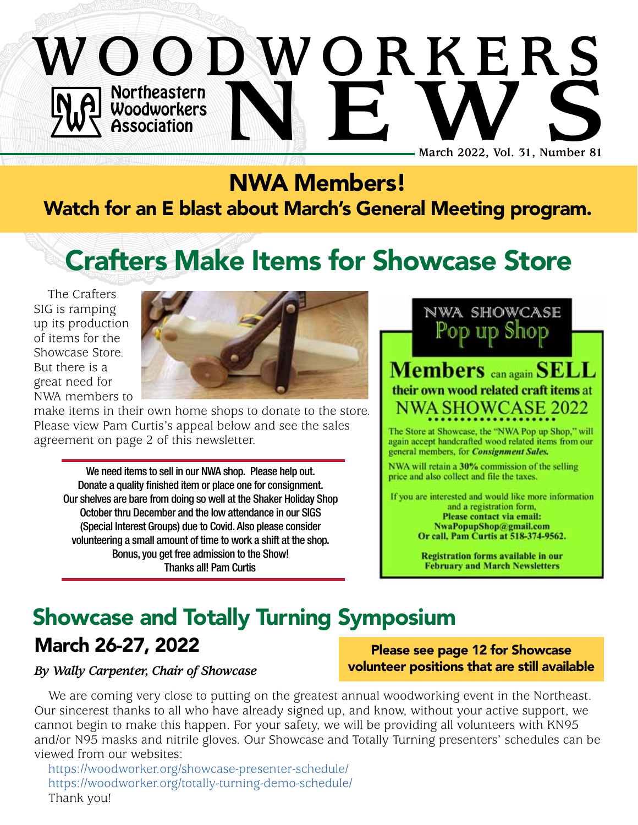## Northeastern Woodworkers Association **WOODWORKERS NO Northeastern**<br> **NO Woodworkers**<br> **NEW Association**<br>
March 2022, Vol. 31, Number 81 **March 2022, Vol. 31, Number 81**

### NWA Members! Watch for an E blast about March's General Meeting program.

# Crafters Make Items for Showcase Store

The Crafters SIG is ramping up its production of items for the Showcase Store. But there is a great need for NWA members to



make items in their own home shops to donate to the store. Please view Pam Curtis's appeal below and see the sales agreement on page 2 of this newsletter.

We need items to sell in our NWA shop. Please help out. Donate a quality finished item or place one for consignment. Our shelves are bare from doing so well at the Shaker Holiday Shop October thru December and the low attendance in our SIGS (Special Interest Groups) due to Covid. Also please consider volunteering a small amount of time to work a shift at the shop. Bonus, you get free admission to the Show! Thanks all! Pam Curtis

Pod in **Members** can again SELL their own wood related craft items at **NWA SHOWCASE 2022** 

NWA SHOWCASE

The Store at Showcase, the "NWA Pop up Shop," will again accept handcrafted wood related items from our general members, for Consignment Sales.

NWA will retain a 30% commission of the selling price and also collect and file the taxes.

If you are interested and would like more information and a registration form, Please contact via email: NwaPopupShop@gmail.com Or call, Pam Curtis at 518-374-9562.

> **Registration forms available in our February and March Newsletters**

### Showcase and Totally Turning Symposium  $\mathcal{L}_{\mathbf{M}}$  shop. Please help in our NWA shop. Please help in our NWA shop. Please help in our NWA shop. Please h

### March 26-27, 2022

*By Wally Carpenter, Chair of Showcase*

**External in the oriental place see page 12 for Showcase** volunteer positions that are still available

We are coming very close to putting on the greatest annual woodworking event in the Northeast. we are coming very close to putting on the greatest annual woodworking event in the Northeast.<br>Our sincerest thanks to all who have already signed up, and know, without your active support, we cannot begin to make this happen. For your safety, we will be providing all volunteers with KN95 and/or N95 masks and nitrile gloves. Our Showcase and Totally Turning presenters' schedules can be viewed from our websites:

https://[woodworker.org/showcase-presenter-schedule/](http://woodworker.org/showcase-presenter-schedule/)<br>https://woodworker.org/totally-turning-demo-schedule/ https://[woodworker.org/totally-turning-demo-schedule/](http://woodworker.org/totally-turning-demo-schedule/) Thank you!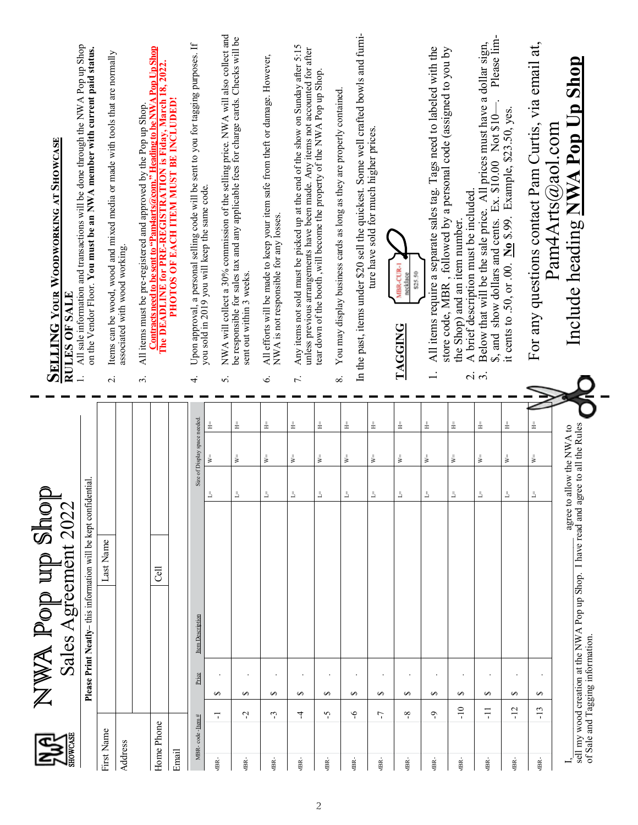|                 | All sale information and transactions will be done through the NWA Pop up Shop<br>on the Vendor Floor. You must be an NWA member with current paid status.<br><b>SELLING YOUR WOODWORKING AT SHOWCASE</b><br>RULES OF SALE |                                                                 |            | Items can be wood, wood and mixed media or made with tools that are normally<br>associated with wood working.<br>$\overline{N}$ |  | Contracts need to be sent to "Pam4aits@com." Heading to be NWA Pop Up Shop<br>The DEADLINE for PRE-REGISTRATION is Fiday, March 18, 2022.<br>PHOTOS OF EACH ITEM MUST BE INCLUDED!<br>All items must be pre-registered and approved by the Pop up Shop.<br>$\dot{\tilde{z}}$ |       | Upon approval, a personal selling code will be sent to you for tagging purposes. If<br>4. | you sold in 2019 you will keep the same code. | NWA will collect a 30% commission of the selling price. NWA will also collect and<br>be responsible for sales tax and any applicable fees for charge cards. Checks will be<br>sent out within 3 weeks.<br>5. | All efforts will be made to keep your item safe from theft or damage. However,<br>NWA is not responsible for any losses.<br>Ġ. | Any items not sold must be picked up at the end of the show on Sunday after 5:15<br>unless previous arrangements have been made. Any items not accounted for after<br>7. | tear down of the booth, will become the property of the NWA Pop up Shop | In the past, items under \$20 sell the quickest. Some well crafted bowls and furni-<br>You may display business cards as long as they are properly contained<br>$\dot{\infty}$ | ture have sold for much higher prices. | MBR-CUR-1<br>\$25.50<br>necklace<br><b>TAGGING</b> | All items require a separate sales tag. Tags need to labeled with the | , followed by a personal code (assigned to you by<br>A brief description must be included.<br>the Shop) and an item number.<br>store code, MBR | Please lim-<br>Below that will be the sale price. All prices must have a dollar sign,<br>\$, and show dollars and cents. Ex. \$10.00 Not \$10<br>$\vec{a}$ | it cents to .50, or .00. $\underline{N}_0$ \$.99. Example, \$23.50, yes. | For any questions contact Pam Curtis, via email at, | Include heading NWA Pop Up Shop<br>$Pam4Arts(\alpha)$ aol.com |                                                                                      |
|-----------------|----------------------------------------------------------------------------------------------------------------------------------------------------------------------------------------------------------------------------|-----------------------------------------------------------------|------------|---------------------------------------------------------------------------------------------------------------------------------|--|------------------------------------------------------------------------------------------------------------------------------------------------------------------------------------------------------------------------------------------------------------------------------|-------|-------------------------------------------------------------------------------------------|-----------------------------------------------|--------------------------------------------------------------------------------------------------------------------------------------------------------------------------------------------------------------|--------------------------------------------------------------------------------------------------------------------------------|--------------------------------------------------------------------------------------------------------------------------------------------------------------------------|-------------------------------------------------------------------------|--------------------------------------------------------------------------------------------------------------------------------------------------------------------------------|----------------------------------------|----------------------------------------------------|-----------------------------------------------------------------------|------------------------------------------------------------------------------------------------------------------------------------------------|------------------------------------------------------------------------------------------------------------------------------------------------------------|--------------------------------------------------------------------------|-----------------------------------------------------|---------------------------------------------------------------|--------------------------------------------------------------------------------------|
|                 |                                                                                                                                                                                                                            |                                                                 |            |                                                                                                                                 |  |                                                                                                                                                                                                                                                                              |       |                                                                                           | ╩                                             | $\pm$                                                                                                                                                                                                        | $\pm$                                                                                                                          | ╩                                                                                                                                                                        | ╩                                                                       | ╩                                                                                                                                                                              | $\pm$                                  | $\pm$                                              | ╩                                                                     | $\pm$                                                                                                                                          | $\pm$                                                                                                                                                      | $\pm$                                                                    | ╩                                                   |                                                               |                                                                                      |
|                 | Sales Agreement 2022                                                                                                                                                                                                       | Please Print Neatly-this information will be kept confidential. |            |                                                                                                                                 |  |                                                                                                                                                                                                                                                                              |       | Size of Display space needed.                                                             | $\mathbb{W} =$                                | $\mathbb{W}^{\! \scriptscriptstyle{\pm}}$                                                                                                                                                                    | $\mathbb{W} =$                                                                                                                 | ≽                                                                                                                                                                        | ¥                                                                       | $\overline{\mathbf{v}}$                                                                                                                                                        | $\mathbb{R}^{\mathbb{N}}$              | $\mathbb{V}^{\mathbb{I}}$                          | $W =$                                                                 | $\mathbb{W}^{\equiv}$                                                                                                                          | $\mathbb{W} =$                                                                                                                                             | $\mathbb{V}^{\mathbb{I}}$                                                | $\mathbb{R}^{\mathbb{N}}$                           |                                                               | sell my wood creation at the NWA Pop up Shop. I have read and agree to all the Rules |
|                 |                                                                                                                                                                                                                            |                                                                 |            |                                                                                                                                 |  |                                                                                                                                                                                                                                                                              |       |                                                                                           |                                               |                                                                                                                                                                                                              | ⊣                                                                                                                              |                                                                                                                                                                          |                                                                         |                                                                                                                                                                                |                                        |                                                    |                                                                       |                                                                                                                                                | ᅴ                                                                                                                                                          | ᆜ                                                                        | ⊣                                                   | agree to allow the NWA to                                     |                                                                                      |
| NWA Pop up shoj |                                                                                                                                                                                                                            |                                                                 |            |                                                                                                                                 |  |                                                                                                                                                                                                                                                                              |       |                                                                                           |                                               |                                                                                                                                                                                                              |                                                                                                                                |                                                                                                                                                                          |                                                                         |                                                                                                                                                                                |                                        |                                                    |                                                                       |                                                                                                                                                |                                                                                                                                                            |                                                                          |                                                     |                                                               |                                                                                      |
|                 |                                                                                                                                                                                                                            |                                                                 | Last Name  |                                                                                                                                 |  | ි                                                                                                                                                                                                                                                                            |       |                                                                                           |                                               |                                                                                                                                                                                                              |                                                                                                                                |                                                                                                                                                                          |                                                                         |                                                                                                                                                                                |                                        |                                                    |                                                                       |                                                                                                                                                |                                                                                                                                                            |                                                                          |                                                     |                                                               |                                                                                      |
|                 |                                                                                                                                                                                                                            |                                                                 |            |                                                                                                                                 |  |                                                                                                                                                                                                                                                                              |       |                                                                                           |                                               |                                                                                                                                                                                                              |                                                                                                                                |                                                                                                                                                                          |                                                                         |                                                                                                                                                                                |                                        |                                                    |                                                                       |                                                                                                                                                |                                                                                                                                                            |                                                                          |                                                     |                                                               |                                                                                      |
|                 |                                                                                                                                                                                                                            |                                                                 |            |                                                                                                                                 |  |                                                                                                                                                                                                                                                                              |       | Item Description                                                                          |                                               |                                                                                                                                                                                                              |                                                                                                                                |                                                                                                                                                                          |                                                                         |                                                                                                                                                                                |                                        |                                                    |                                                                       |                                                                                                                                                |                                                                                                                                                            |                                                                          |                                                     |                                                               |                                                                                      |
|                 |                                                                                                                                                                                                                            |                                                                 |            |                                                                                                                                 |  |                                                                                                                                                                                                                                                                              |       | Price                                                                                     | $\Theta$                                      | ↮                                                                                                                                                                                                            | ↮                                                                                                                              | ↮                                                                                                                                                                        | ↮                                                                       | $\bullet$<br>$\bullet$                                                                                                                                                         | ↮                                      | ↮                                                  | ↔                                                                     | $\Theta$                                                                                                                                       | ↮                                                                                                                                                          | ↮                                                                        | $\Theta$                                            |                                                               | of Sale and Tagging information.                                                     |
|                 |                                                                                                                                                                                                                            |                                                                 |            |                                                                                                                                 |  |                                                                                                                                                                                                                                                                              |       |                                                                                           | ᅮ                                             | Ņ                                                                                                                                                                                                            | ో                                                                                                                              | 4                                                                                                                                                                        | $\tilde{C}$                                                             | $\varphi$                                                                                                                                                                      | 7                                      | ∾                                                  | ᠲ                                                                     | $-10$                                                                                                                                          | $\Xi$                                                                                                                                                      | $-12$                                                                    | $-13$                                               |                                                               |                                                                                      |
| S               |                                                                                                                                                                                                                            |                                                                 | First Name | Address                                                                                                                         |  | Home Phone                                                                                                                                                                                                                                                                   | Email | MBR-code-Item#                                                                            | ABR-                                          | ABR-                                                                                                                                                                                                         | ABR-                                                                                                                           | Æ-                                                                                                                                                                       | ABR-                                                                    | ABR-                                                                                                                                                                           | ABR-                                   | ABR-                                               | Æ-                                                                    | ABR-                                                                                                                                           | ABR-                                                                                                                                                       | ABR-                                                                     | ABR-                                                |                                                               |                                                                                      |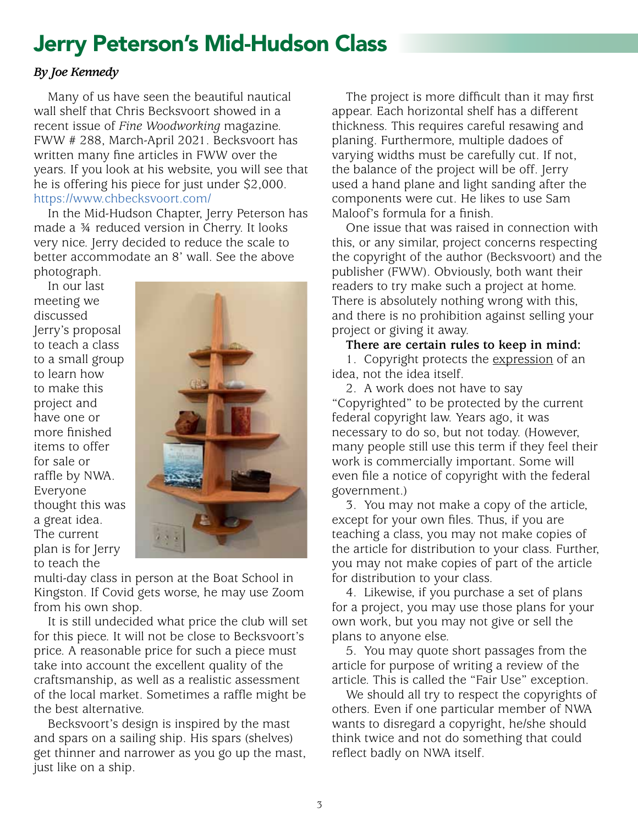## Jerry Peterson's Mid-Hudson Class

### *By Joe Kennedy*

Many of us have seen the beautiful nautical wall shelf that Chris Becksvoort showed in a recent issue of *Fine Woodworking* magazine. FWW # 288, March-April 2021. Becksvoort has written many fine articles in FWW over the years. If you look at his website, you will see that he is offering his piece for just under \$2,000. https://[www.chbecksvoort.com/](http://www.chbecksvoort.com/) 

In the Mid-Hudson Chapter, Jerry Peterson has made a ¾ reduced version in Cherry. It looks very nice. Jerry decided to reduce the scale to better accommodate an 8' wall. See the above photograph.

In our last<br>eeting we meeting we discussed Jerry's proposal to teach a class to a small group to learn how to make this project and have one or more finished items to offer for sale or raffle by NWA. Everyone thought this was a great idea. The current plan is for Jerry to teach the Sis<br>Sus<br>de beautical<br>ful nautical ware *Fine working magazine*. Function magazine. Function was a large to the control and a large to the control and a aw oper computed in FWW orer the years. If you look at his website, you look at his website, you will see that he is website, you look at his website, you look at his website, you look at his website, you will see that he ring his piece for it is piece for it is a little set of the set of the set of the set of the set of the set o<br>Piece for it is a little set of the set of the set of the set of the set of the set of the set of the set of t<br> https://www.chbecksvoort.com<br>//www.chbecksvoort.com/<br>//www.chbecksvoort.com/ اس ng Si Tah nas made at peterson at the Midreduced version in Cherry. It leaves very set  $\alpha$ nice. Jerry decided to better accommodate to better accommodate and accommodate and see the above photograph. See the above photograph. The above photograph is above photograph. See the above photograph. See the above phot In our last meeting we discussed in the discussed Jerry's proposal to the small group to a small group to a small group to a class to a small group to a small group to a small group to a small group to a small group to a s make this project and have or more finite<br>and have one of the sale of the sale of the sale of the sale of the sale of the sale of the sale of the sale o I Fultit the current plan is for The current plan is for The multi-day class in the multi-day class in the multi-



multi-day class in person at the Boat School in Kingston. If Covid gets worse, he may use Zoom from his own shop.

It is still undecided what price the club will set for this piece. It will not be close to Becksvoort's price. A reasonable price for such a piece must take into account the excellent quality of the craftsmanship, as well as a realistic assessment of the local market. Sometimes a raffle might be the best alternative.

Becksvoort's design is inspired by the mast and spars on a sailing ship. His spars (shelves) get thinner and narrower as you go up the mast, just like on a ship.

The project is more difficult than it may first appear. Each horizontal shelf has a different thickness. This requires careful resawing and planing. Furthermore, multiple dadoes of varying widths must be carefully cut. If not, the balance of the project will be off. Jerry used a hand plane and light sanding after the components were cut. He likes to use Sam Maloof's formula for a finish.

One issue that was raised in connection with this, or any similar, project concerns respecting the copyright of the author (Becksvoort) and the publisher (FWW). Obviously, both want their readers to try make such a project at home. There is absolutely nothing wrong with this, and there is no prohibition against selling your project or giving it away.

**There are certain rules to keep in mind:**

1. Copyright protects the expression of an idea, not the idea itself.

2. A work does not have to say "Copyrighted" to be protected by the current federal copyright law. Years ago, it was necessary to do so, but not today. (However, many people still use this term if they feel their work is commercially important. Some will even file a notice of copyright with the federal government.) der Peter<br>Jerry Peter<br>Jerry Peter<br>Jerry Mid-Hudson<br>Jerry Mid-Hudson

vermittent.)<br>3. You may not make a copy of the article,<br>-----<sup>6</sup> Survermanue files There if see uses. except for your own files. Thus, if you are teaching a class, you may not make copies of the article for distribution to your class. Further, you may not make copies of part of the article for distribution to your class. ท<br>ม<br>ว่<br>:ไเ

4. Likewise, if you purchase a set of plans for a project, you may use those plans for your own work, but you may not give or sell the plans to anyone else.

5. You may quote short passages from the article for purpose of writing a review of the article. This is called the "Fair Use" exception.

We should all try to respect the copyrights of others. Even if one particular member of NWA wants to disregard a copyright, he/she should think twice and not do something that could reflect badly on NWA itself.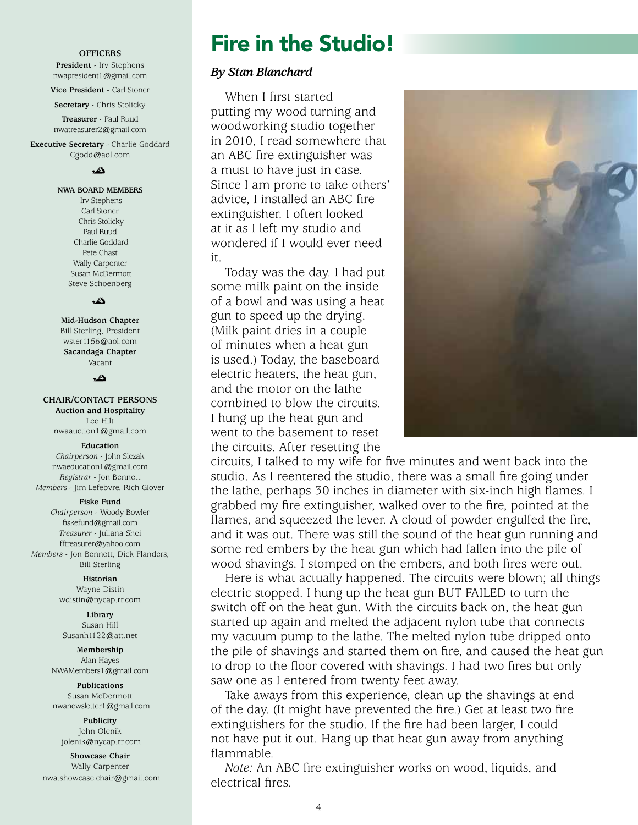#### **OFFICERS**

**President** - Irv Stephens nwapresident1@gmail.com

**Vice President** - Carl Stoner

**Secretary** - Chris Stolicky

**Treasurer** - Paul Ruud nwatreasurer2@gmail.com

**Executive Secretary** - Charlie Goddard Cgodd@aol.com

ئە

#### **NWA BOARD MEMBERS**

 Irv Stephens Carl Stoner Chris Stolicky Paul Ruud Charlie Goddard Pete Chast Wally Carpenter Susan McDermott Steve Schoenberg

دگ

**Mid-Hudson Chapter**  Bill Sterling, President wster1156@aol.com **Sacandaga Chapter** Vacant

دگ

#### **CHAIR/CONTACT PERSONS**

**Auction and Hospitality** Lee Hilt nwaauction1@gmail.com

#### **Education**

*Chairperson* - John Slezak nwaeducation1@gmail.com *Registrar* - Jon Bennett *Members* - Jim Lefebvre, Rich Glover

#### **Fiske Fund**

*Chairperson* - Woody Bowler fiskefund@gmail.com *Treasurer* - Juliana Shei fftreasurer@yahoo.com *Members* - Jon Bennett, Dick Flanders, Bill Sterling

> **Historian** Wayne Distin wdistin@nycap.rr.com

**Library** Susan Hill Susanh1122@att.net

#### **Membership** Alan Hayes

NWAMembers1@gmail.com

**Publications** Susan McDermott nwanewsletter1@gmail.com

**Publicity** John Olenik jolenik@nycap.rr.com

**Showcase Chair** Wally Carpenter nwa.showcase.chair@gmail.com

### Fire in the Studio!

### *By Stan Blanchard*

When I first started putting my wood turning and woodworking studio together in 2010, I read somewhere that an ABC fire extinguisher was a must to have just in case. Since I am prone to take others' advice, I installed an ABC fire extinguisher. I often looked at it as I left my studio and wondered if I would ever need it.

Today was the day. I had put some milk paint on the inside of a bowl and was using a heat gun to speed up the drying. (Milk paint dries in a couple of minutes when a heat gun is used.) Today, the baseboard electric heaters, the heat gun, and the motor on the lathe combined to blow the circuits. I hung up the heat gun and went to the basement to reset the circuits. After resetting the

circuits, I talked to my wife for five minutes and went back into the studio. As I reentered the studio, there was a small fire going under the lathe, perhaps 30 inches in diameter with six-inch high flames. I grabbed my fire extinguisher, walked over to the fire, pointed at the flames, and squeezed the lever. A cloud of powder engulfed the fire, and it was out. There was still the sound of the heat gun running and some red embers by the heat gun which had fallen into the pile of wood shavings. I stomped on the embers, and both fires were out.

Here is what actually happened. The circuits were blown; all things electric stopped. I hung up the heat gun BUT FAILED to turn the switch off on the heat gun. With the circuits back on, the heat gun started up again and melted the adjacent nylon tube that connects my vacuum pump to the lathe. The melted nylon tube dripped onto the pile of shavings and started them on fire, and caused the heat gun to drop to the floor covered with shavings. I had two fires but only saw one as I entered from twenty feet away.

Take aways from this experience, clean up the shavings at end of the day. (It might have prevented the fire.) Get at least two fire extinguishers for the studio. If the fire had been larger, I could not have put it out. Hang up that heat gun away from anything flammable.

*Note:* An ABC fire extinguisher works on wood, liquids, and electrical fires.

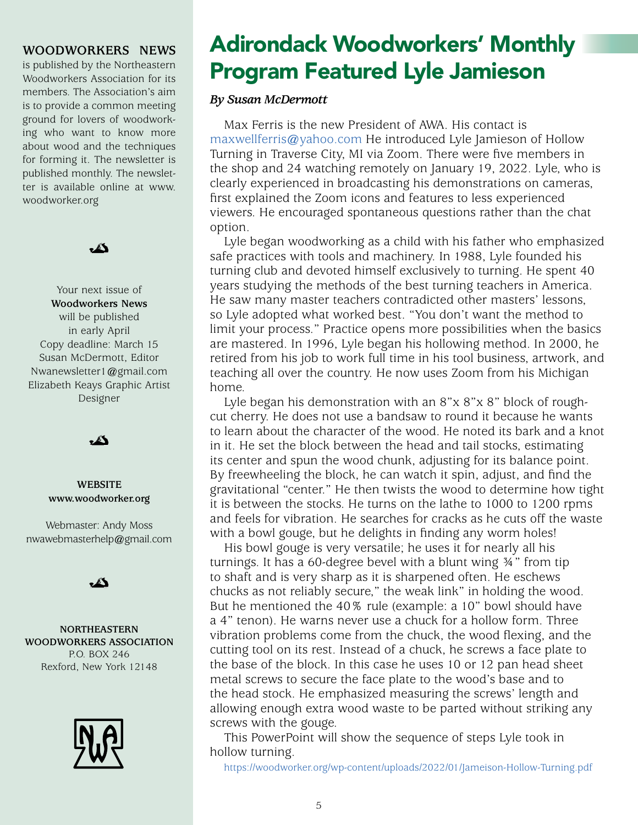### **WOODWORKERS NEWS**

is published by the Northeastern Woodworkers Association for its members. The Association's aim is to provide a common meeting ground for lovers of woodworking who want to know more about wood and the techniques for forming it. The newsletter is published monthly. The newsletter is available online at www. woodworker.org



Your next issue of **Woodworkers News** will be published in early April Copy deadline: March 15 Susan McDermott, Editor Nwanewsletter1@gmail.com Elizabeth Keays Graphic Artist Designer



### **WEBSITE www.woodworker.org**

Webmaster: Andy Moss nwawebmasterhelp@gmail.com



**NORTHEASTERN WOODWORKERS ASSOCIATION** P.O. BOX 246 Rexford, New York 12148



# Adirondack Woodworkers' Monthly Program Featured Lyle Jamieson

### *By Susan McDermott*

Max Ferris is the new President of AWA. His contact is maxwellferris@yahoo.com He introduced Lyle Jamieson of Hollow Turning in Traverse City, MI via Zoom. There were five members in the shop and 24 watching remotely on January 19, 2022. Lyle, who is clearly experienced in broadcasting his demonstrations on cameras, first explained the Zoom icons and features to less experienced viewers. He encouraged spontaneous questions rather than the chat option.

Lyle began woodworking as a child with his father who emphasized safe practices with tools and machinery. In 1988, Lyle founded his turning club and devoted himself exclusively to turning. He spent 40 years studying the methods of the best turning teachers in America. He saw many master teachers contradicted other masters' lessons, so Lyle adopted what worked best. "You don't want the method to limit your process." Practice opens more possibilities when the basics are mastered. In 1996, Lyle began his hollowing method. In 2000, he retired from his job to work full time in his tool business, artwork, and teaching all over the country. He now uses Zoom from his Michigan home.

Lyle began his demonstration with an 8"x 8"x 8" block of roughcut cherry. He does not use a bandsaw to round it because he wants to learn about the character of the wood. He noted its bark and a knot in it. He set the block between the head and tail stocks, estimating its center and spun the wood chunk, adjusting for its balance point. By freewheeling the block, he can watch it spin, adjust, and find the gravitational "center." He then twists the wood to determine how tight it is between the stocks. He turns on the lathe to 1000 to 1200 rpms and feels for vibration. He searches for cracks as he cuts off the waste with a bowl gouge, but he delights in finding any worm holes!

His bowl gouge is very versatile; he uses it for nearly all his turnings. It has a 60-degree bevel with a blunt wing ¾" from tip to shaft and is very sharp as it is sharpened often. He eschews chucks as not reliably secure," the weak link" in holding the wood. But he mentioned the 40% rule (example: a 10" bowl should have a 4" tenon). He warns never use a chuck for a hollow form. Three vibration problems come from the chuck, the wood flexing, and the cutting tool on its rest. Instead of a chuck, he screws a face plate to the base of the block. In this case he uses 10 or 12 pan head sheet metal screws to secure the face plate to the wood's base and to the head stock. He emphasized measuring the screws' length and allowing enough extra wood waste to be parted without striking any screws with the gouge.

This PowerPoint will show the sequence of steps Lyle took in hollow turning.

https:/[/woodworker.org/wp-content/uploads/2022/01/Jameison-Hollow-Turning.pdf](http://woodworker.org/wp-content/uploads/2022/01/Jameison-Hollow-Turning.pdf)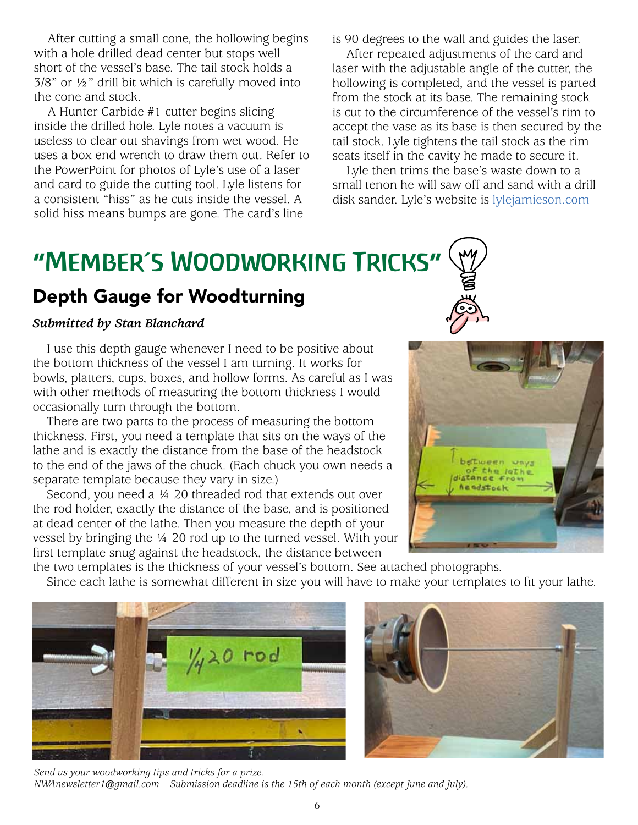After cutting a small cone, the hollowing begins with a hole drilled dead center but stops well short of the vessel's base. The tail stock holds a 3/8" or ½" drill bit which is carefully moved into the cone and stock.

A Hunter Carbide #1 cutter begins slicing inside the drilled hole. Lyle notes a vacuum is useless to clear out shavings from wet wood. He uses a box end wrench to draw them out. Refer to the PowerPoint for photos of Lyle's use of a laser and card to guide the cutting tool. Lyle listens for a consistent "hiss" as he cuts inside the vessel. A solid hiss means bumps are gone. The card's line

is 90 degrees to the wall and guides the laser.

After repeated adjustments of the card and laser with the adjustable angle of the cutter, the hollowing is completed, and the vessel is parted from the stock at its base. The remaining stock is cut to the circumference of the vessel's rim to accept the vase as its base is then secured by the tail stock. Lyle tightens the tail stock as the rim seats itself in the cavity he made to secure it.

Lyle then trims the base's waste down to a small tenon he will saw off and sand with a drill disk sander. Lyle's website is [lylejamieson.com](http://lylejamieson.com)

# "Member's Woodworking Tricks"

### Depth Gauge for Woodturning

### *Submitted by Stan Blanchard*

I use this depth gauge whenever I need to be positive about the bottom thickness of the vessel I am turning. It works for bowls, platters, cups, boxes, and hollow forms. As careful as I was with other methods of measuring the bottom thickness I would occasionally turn through the bottom.

There are two parts to the process of measuring the bottom thickness. First, you need a template that sits on the ways of the lathe and is exactly the distance from the base of the headstock to the end of the jaws of the chuck. (Each chuck you own needs a separate template because they vary in size.)

Second, you need a ¼ 20 threaded rod that extends out over the rod holder, exactly the distance of the base, and is positioned at dead center of the lathe. Then you measure the depth of your vessel by bringing the ¼ 20 rod up to the turned vessel. With your first template snug against the headstock, the distance between



the two templates is the thickness of your vessel's bottom. See attached photographs.

Since each lathe is somewhat different in size you will have to make your templates to fit your lathe.





*Send us your woodworking tips and tricks for a prize. NWAnewsletter1@gmail.com Submission deadline is the 15th of each month (except June and July).* 

6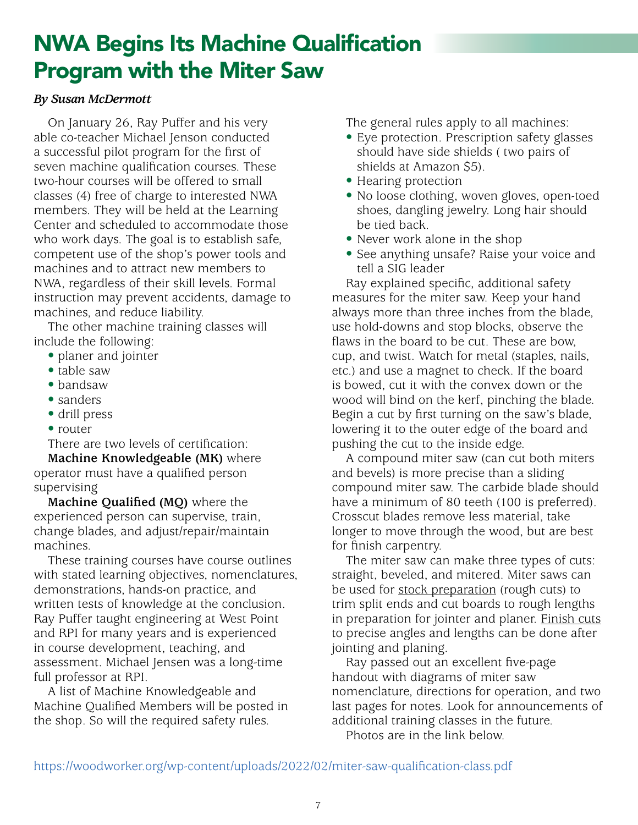# NWA Begins Its Machine Qualification Program with the Miter Saw

### *By Susan McDermott*

On January 26, Ray Puffer and his very able co-teacher Michael Jenson conducted a successful pilot program for the first of seven machine qualification courses. These two-hour courses will be offered to small classes (4) free of charge to interested NWA members. They will be held at the Learning Center and scheduled to accommodate those who work days. The goal is to establish safe, competent use of the shop's power tools and machines and to attract new members to NWA, regardless of their skill levels. Formal instruction may prevent accidents, damage to machines, and reduce liability.

The other machine training classes will include the following:

- planer and jointer
- table saw
- bandsaw
- sanders
- drill press
- router

There are two levels of certification:

**Machine Knowledgeable (MK)** where operator must have a qualified person supervising

**Machine Qualified (MQ)** where the experienced person can supervise, train, change blades, and adjust/repair/maintain machines.

These training courses have course outlines with stated learning objectives, nomenclatures, demonstrations, hands-on practice, and written tests of knowledge at the conclusion. Ray Puffer taught engineering at West Point and RPI for many years and is experienced in course development, teaching, and assessment. Michael Jensen was a long-time full professor at RPI.

A list of Machine Knowledgeable and Machine Qualified Members will be posted in the shop. So will the required safety rules.

The general rules apply to all machines:

- Eye protection. Prescription safety glasses should have side shields ( two pairs of shields at Amazon \$5).
- Hearing protection
- No loose clothing, woven gloves, open-toed shoes, dangling jewelry. Long hair should be tied back.
- Never work alone in the shop
- See anything unsafe? Raise your voice and tell a SIG leader

Ray explained specific, additional safety measures for the miter saw. Keep your hand always more than three inches from the blade, use hold-downs and stop blocks, observe the flaws in the board to be cut. These are bow, cup, and twist. Watch for metal (staples, nails, etc.) and use a magnet to check. If the board is bowed, cut it with the convex down or the wood will bind on the kerf, pinching the blade. Begin a cut by first turning on the saw's blade, lowering it to the outer edge of the board and pushing the cut to the inside edge.

A compound miter saw (can cut both miters and bevels) is more precise than a sliding compound miter saw. The carbide blade should have a minimum of 80 teeth (100 is preferred). Crosscut blades remove less material, take longer to move through the wood, but are best for finish carpentry.

The miter saw can make three types of cuts: straight, beveled, and mitered. Miter saws can be used for stock preparation (rough cuts) to trim split ends and cut boards to rough lengths in preparation for jointer and planer. **Finish cuts** to precise angles and lengths can be done after jointing and planing.

Ray passed out an excellent five-page handout with diagrams of miter saw nomenclature, directions for operation, and two last pages for notes. Look for announcements of additional training classes in the future.

Photos are in the link below.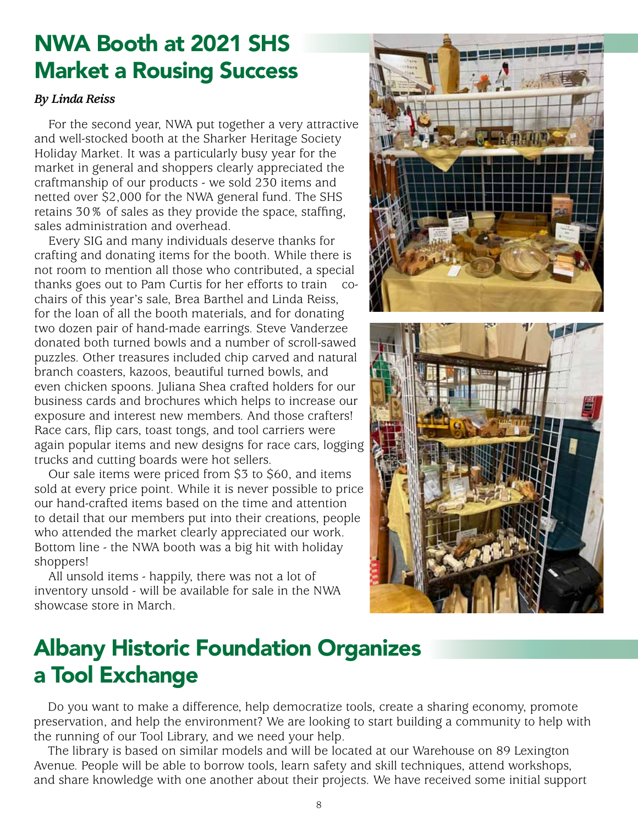# NWA Booth at 2021 SHS Market a Rousing Success

### *By Linda Reiss*

For the second year, NWA put together a very attractive and well-stocked booth at the Sharker Heritage Society Holiday Market. It was a particularly busy year for the market in general and shoppers clearly appreciated the craftmanship of our products - we sold 230 items and netted over \$2,000 for the NWA general fund. The SHS retains 30% of sales as they provide the space, staffing, sales administration and overhead.

Every SIG and many individuals deserve thanks for crafting and donating items for the booth. While there is not room to mention all those who contributed, a special thanks goes out to Pam Curtis for her efforts to train cochairs of this year's sale, Brea Barthel and Linda Reiss, for the loan of all the booth materials, and for donating two dozen pair of hand-made earrings. Steve Vanderzee donated both turned bowls and a number of scroll-sawed puzzles. Other treasures included chip carved and natural branch coasters, kazoos, beautiful turned bowls, and even chicken spoons. Juliana Shea crafted holders for our business cards and brochures which helps to increase our exposure and interest new members. And those crafters! Race cars, flip cars, toast tongs, and tool carriers were again popular items and new designs for race cars, logging trucks and cutting boards were hot sellers.

Our sale items were priced from \$3 to \$60, and items sold at every price point. While it is never possible to price our hand-crafted items based on the time and attention to detail that our members put into their creations, people who attended the market clearly appreciated our work. Bottom line - the NWA booth was a big hit with holiday shoppers!

All unsold items - happily, there was not a lot of inventory unsold - will be available for sale in the NWA showcase store in March.





# Albany Historic Foundation Organizes a Tool Exchange

Do you want to make a difference, help democratize tools, create a sharing economy, promote preservation, and help the environment? We are looking to start building a community to help with the running of our Tool Library, and we need your help.

The library is based on similar models and will be located at our Warehouse on 89 Lexington Avenue. People will be able to borrow tools, learn safety and skill techniques, attend workshops, and share knowledge with one another about their projects. We have received some initial support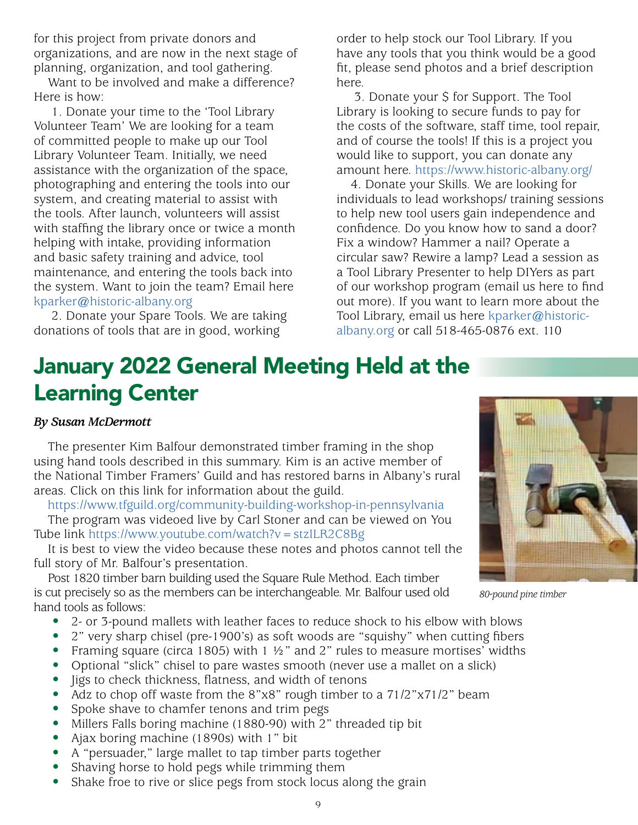for this project from private donors and organizations, and are now in the next stage of planning, organization, and tool gathering.

Want to be involved and make a difference? Here is how:

 1. Donate your time to the 'Tool Library Volunteer Team' We are looking for a team of committed people to make up our Tool Library Volunteer Team. Initially, we need assistance with the organization of the space, photographing and entering the tools into our system, and creating material to assist with the tools. After launch, volunteers will assist with staffing the library once or twice a month helping with intake, providing information and basic safety training and advice, tool maintenance, and entering the tools back into the system. Want to join the team? Email here kparker@historic-albany.org

 2. Donate your Spare Tools. We are taking donations of tools that are in good, working

order to help stock our Tool Library. If you have any tools that you think would be a good fit, please send photos and a brief description here.

 3. Donate your \$ for Support. The Tool Library is looking to secure funds to pay for the costs of the software, staff time, tool repair, and of course the tools! If this is a project you would like to support, you can donate any amount here. https:/[/www.historic-albany.org/](http://www.historic-albany.org/ )

4. Donate your Skills. We are looking for individuals to lead workshops/ training sessions to help new tool users gain independence and confidence. Do you know how to sand a door? Fix a window? Hammer a nail? Operate a circular saw? Rewire a lamp? Lead a session as a Tool Library Presenter to help DIYers as part of our workshop program (email us here to find out more). If you want to learn more about the Tool Library, email us here kparker@historicalbany.org or call 518-465-0876 ext. 110

# January 2022 General Meeting Held at the Learning Center

### *By Susan McDermott*

The presenter Kim Balfour demonstrated timber framing in the shop using hand tools described in this summary. Kim is an active member of the National Timber Framers' Guild and has restored barns in Albany's rural areas. Click on this link for information about the guild.

https:/[/www.tfguild.org/community-building-workshop-in-pennsylvania](http://www.tfguild.org/community-building-workshop-in-pennsylvania)

The program was videoed live by Carl Stoner and can be viewed on You Tube link https://[www.youtube.com/watch?v=stzILR2C8Bg](http://www.youtube.com/watch?v=stzILR2C8Bg)

It is best to view the video because these notes and photos cannot tell the full story of Mr. Balfour's presentation.

Post 1820 timber barn building used the Square Rule Method. Each timber is cut precisely so as the members can be interchangeable. Mr. Balfour used old hand tools as follows:

- 2- or 3-pound mallets with leather faces to reduce shock to his elbow with blows
- 2" very sharp chisel (pre-1900's) as soft woods are "squishy" when cutting fibers
- Framing square (circa 1805) with 1  $\frac{1}{2}$  and 2" rules to measure mortises' widths
- Optional "slick" chisel to pare wastes smooth (never use a mallet on a slick)
- Jigs to check thickness, flatness, and width of tenons
- Adz to chop off waste from the 8"x8" rough timber to a 71/2"x71/2" beam
- Spoke shave to chamfer tenons and trim pegs
- Millers Falls boring machine (1880-90) with 2" threaded tip bit
- Ajax boring machine (1890s) with 1" bit
- A "persuader," large mallet to tap timber parts together
- Shaving horse to hold pegs while trimming them
- Shake froe to rive or slice pegs from stock locus along the grain



*80-pound pine timber*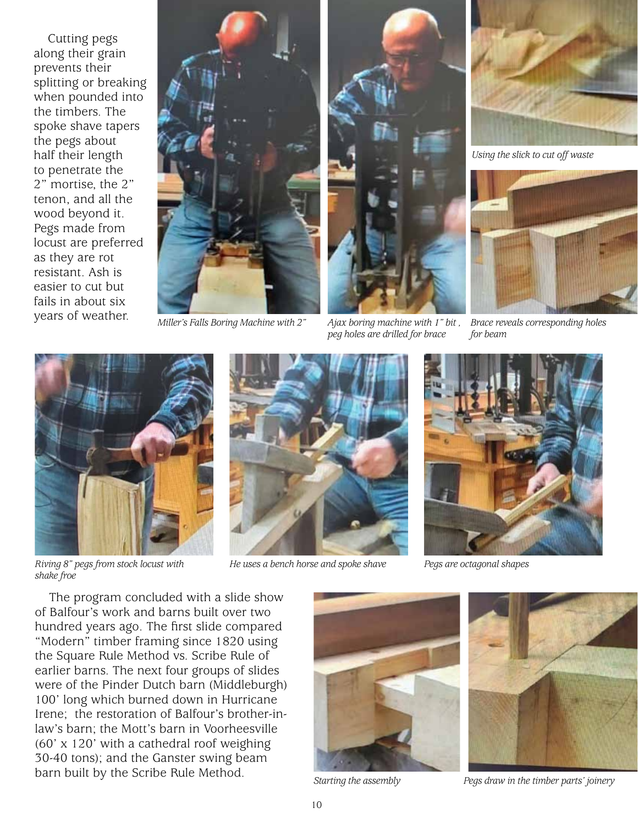Cutting pegs along their grain prevents their splitting or breaking when pounded into the timbers. The spoke shave tapers the pegs about half their length to penetrate the 2" mortise, the 2" tenon, and all the wood beyond it. Pegs made from locust are preferred as they are rot resistant. Ash is easier to cut but fails in about six years of weather.



*Miller's Falls Boring Machine with 2" Ajax boring machine with 1" bit ,* 



*peg holes are drilled for brace*



*Using the slick to cut off waste*



*Brace reveals corresponding holes for beam*



*shake froe*



*He uses a bench horse and spoke shave Pegs are octagonal shapes*



The program concluded with a slide show of Balfour's work and barns built over two hundred years ago. The first slide compared "Modern" timber framing since 1820 using the Square Rule Method vs. Scribe Rule of earlier barns. The next four groups of slides were of the Pinder Dutch barn (Middleburgh) 100' long which burned down in Hurricane Irene; the restoration of Balfour's brother-inlaw's barn; the Mott's barn in Voorheesville (60' x 120' with a cathedral roof weighing 30-40 tons); and the Ganster swing beam barn built by the Scribe Rule Method.<br>*Starting the assembly Pegs draw in the timber parts' joinery* 



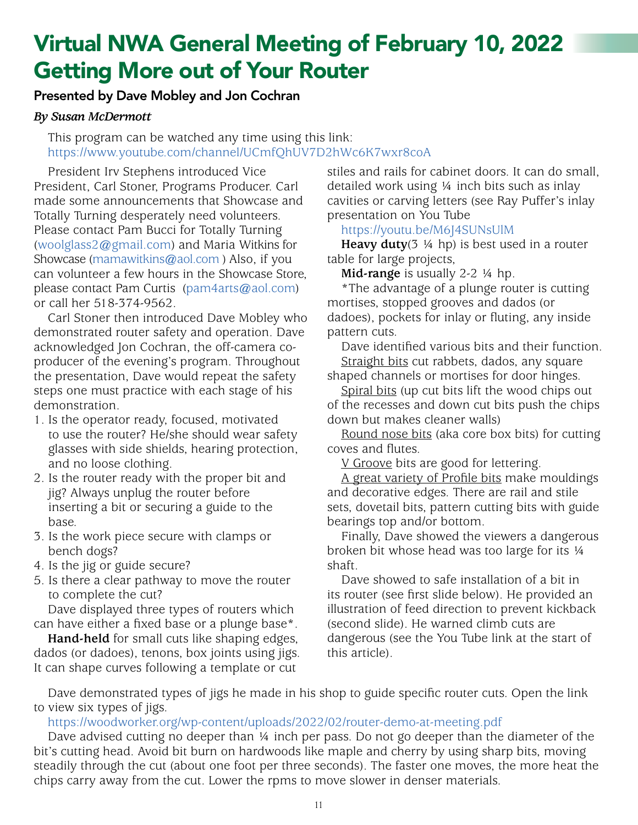# Virtual NWA General Meeting of February 10, 2022 Getting More out of Your Router

### Presented by Dave Mobley and Jon Cochran

### *By Susan McDermott*

This program can be watched any time using this link: https:/[/www.youtube.com/channel/UCmfQhUV7D2hWc6K7wxr8coA](http://www.youtube.com/channel/UCmfQhUV7D2hWc6K7wxr8coA)

President Irv Stephens introduced Vice President, Carl Stoner, Programs Producer. Carl made some announcements that Showcase and Totally Turning desperately need volunteers. Please contact Pam Bucci for Totally Turning (woolglass2@gmail.com) and Maria Witkins for Showcase (mamawitkins@aol.com ) Also, if you can volunteer a few hours in the Showcase Store, please contact Pam Curtis (pam4arts@aol.com) or call her 518-374-9562.

Carl Stoner then introduced Dave Mobley who demonstrated router safety and operation. Dave acknowledged Jon Cochran, the off-camera coproducer of the evening's program. Throughout the presentation, Dave would repeat the safety steps one must practice with each stage of his demonstration.

- 1. Is the operator ready, focused, motivated to use the router? He/she should wear safety glasses with side shields, hearing protection, and no loose clothing.
- 2. Is the router ready with the proper bit and jig? Always unplug the router before inserting a bit or securing a guide to the base.
- 3. Is the work piece secure with clamps or bench dogs?
- 4. Is the jig or guide secure?
- 5. Is there a clear pathway to move the router to complete the cut?

Dave displayed three types of routers which can have either a fixed base or a plunge base\*.

**Hand-held** for small cuts like shaping edges, dados (or dadoes), tenons, box joints using jigs. It can shape curves following a template or cut

stiles and rails for cabinet doors. It can do small, detailed work using ¼ inch bits such as inlay cavities or carving letters (see Ray Puffer's inlay presentation on You Tube

### https:/[/youtu.be/M6J4SUNsUlM](http://youtu.be/M6J4SUNsUlM)

**Heavy duty**(3 ¼ hp) is best used in a router table for large projects,

**Mid-range** is usually 2-2 ¼ hp.

\*The advantage of a plunge router is cutting mortises, stopped grooves and dados (or dadoes), pockets for inlay or fluting, any inside pattern cuts.

Dave identified various bits and their function. Straight bits cut rabbets, dados, any square

shaped channels or mortises for door hinges. Spiral bits (up cut bits lift the wood chips out

of the recesses and down cut bits push the chips down but makes cleaner walls)

Round nose bits (aka core box bits) for cutting coves and flutes.

V Groove bits are good for lettering.

A great variety of Profile bits make mouldings and decorative edges. There are rail and stile sets, dovetail bits, pattern cutting bits with guide bearings top and/or bottom.

Finally, Dave showed the viewers a dangerous broken bit whose head was too large for its ¼ shaft.

Dave showed to safe installation of a bit in its router (see first slide below). He provided an illustration of feed direction to prevent kickback (second slide). He warned climb cuts are dangerous (see the You Tube link at the start of this article).

Dave demonstrated types of jigs he made in his shop to guide specific router cuts. Open the link to view six types of jigs.

[https://woodworker.org/wp-content/uploads/2022/02/router-demo-at-meeting.pdf](https://woodworker.org/wp-content/uploads/2022/02/router-demo-at-meeting.pdf )

Dave advised cutting no deeper than ¼ inch per pass. Do not go deeper than the diameter of the bit's cutting head. Avoid bit burn on hardwoods like maple and cherry by using sharp bits, moving steadily through the cut (about one foot per three seconds). The faster one moves, the more heat the chips carry away from the cut. Lower the rpms to move slower in denser materials.